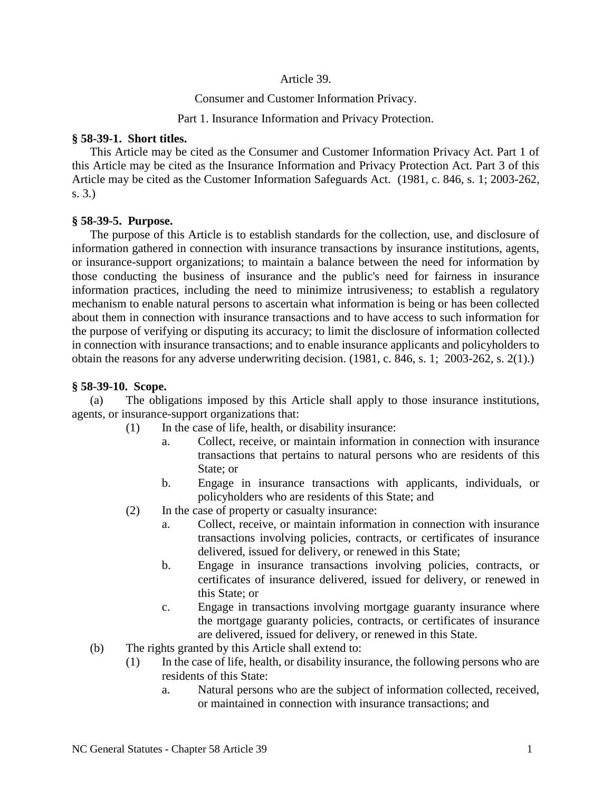### Article 39.

### Consumer and Customer Information Privacy.

## Part 1. Insurance Information and Privacy Protection.

## **§ 58-39-1. Short titles.**

This Article may be cited as the Consumer and Customer Information Privacy Act. Part 1 of this Article may be cited as the Insurance Information and Privacy Protection Act. Part 3 of this Article may be cited as the Customer Information Safeguards Act. (1981, c. 846, s. 1; 2003-262, s. 3.)

### **§ 58-39-5. Purpose.**

The purpose of this Article is to establish standards for the collection, use, and disclosure of information gathered in connection with insurance transactions by insurance institutions, agents, or insurance-support organizations; to maintain a balance between the need for information by those conducting the business of insurance and the public's need for fairness in insurance information practices, including the need to minimize intrusiveness; to establish a regulatory mechanism to enable natural persons to ascertain what information is being or has been collected about them in connection with insurance transactions and to have access to such information for the purpose of verifying or disputing its accuracy; to limit the disclosure of information collected in connection with insurance transactions; and to enable insurance applicants and policyholders to obtain the reasons for any adverse underwriting decision. (1981, c. 846, s. 1; 2003-262, s. 2(1).)

### **§ 58-39-10. Scope.**

(a) The obligations imposed by this Article shall apply to those insurance institutions, agents, or insurance-support organizations that:

- (1) In the case of life, health, or disability insurance:
	- a. Collect, receive, or maintain information in connection with insurance transactions that pertains to natural persons who are residents of this State; or
	- b. Engage in insurance transactions with applicants, individuals, or policyholders who are residents of this State; and
- (2) In the case of property or casualty insurance:
	- a. Collect, receive, or maintain information in connection with insurance transactions involving policies, contracts, or certificates of insurance delivered, issued for delivery, or renewed in this State;
	- b. Engage in insurance transactions involving policies, contracts, or certificates of insurance delivered, issued for delivery, or renewed in this State; or
	- c. Engage in transactions involving mortgage guaranty insurance where the mortgage guaranty policies, contracts, or certificates of insurance are delivered, issued for delivery, or renewed in this State.
- (b) The rights granted by this Article shall extend to:
	- (1) In the case of life, health, or disability insurance, the following persons who are residents of this State:
		- a. Natural persons who are the subject of information collected, received, or maintained in connection with insurance transactions; and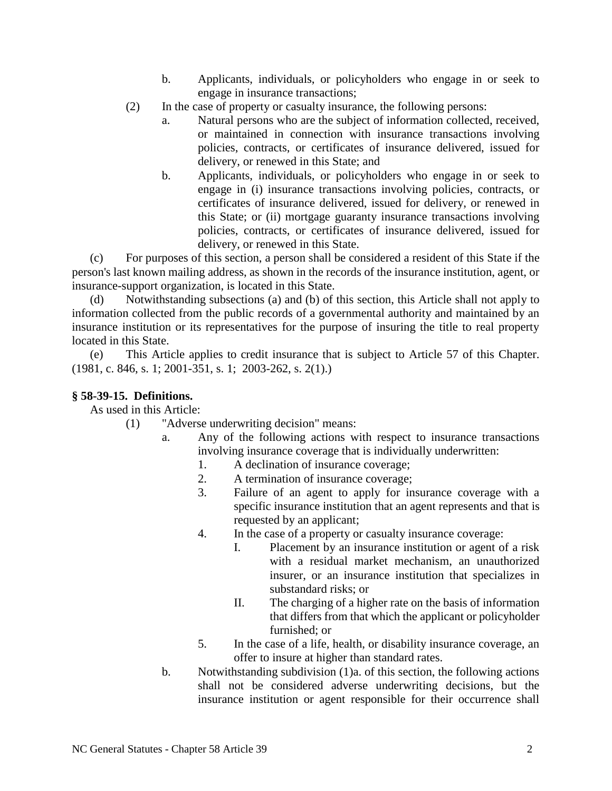- b. Applicants, individuals, or policyholders who engage in or seek to engage in insurance transactions;
- (2) In the case of property or casualty insurance, the following persons:
	- a. Natural persons who are the subject of information collected, received, or maintained in connection with insurance transactions involving policies, contracts, or certificates of insurance delivered, issued for delivery, or renewed in this State; and
	- b. Applicants, individuals, or policyholders who engage in or seek to engage in (i) insurance transactions involving policies, contracts, or certificates of insurance delivered, issued for delivery, or renewed in this State; or (ii) mortgage guaranty insurance transactions involving policies, contracts, or certificates of insurance delivered, issued for delivery, or renewed in this State.

(c) For purposes of this section, a person shall be considered a resident of this State if the person's last known mailing address, as shown in the records of the insurance institution, agent, or insurance-support organization, is located in this State.

(d) Notwithstanding subsections (a) and (b) of this section, this Article shall not apply to information collected from the public records of a governmental authority and maintained by an insurance institution or its representatives for the purpose of insuring the title to real property located in this State.

(e) This Article applies to credit insurance that is subject to Article 57 of this Chapter. (1981, c. 846, s. 1; 2001-351, s. 1; 2003-262, s. 2(1).)

## **§ 58-39-15. Definitions.**

As used in this Article:

(1) "Adverse underwriting decision" means:

- a. Any of the following actions with respect to insurance transactions involving insurance coverage that is individually underwritten:
	- 1. A declination of insurance coverage;
	- 2. A termination of insurance coverage;
	- 3. Failure of an agent to apply for insurance coverage with a specific insurance institution that an agent represents and that is requested by an applicant;
	- 4. In the case of a property or casualty insurance coverage:
		- I. Placement by an insurance institution or agent of a risk with a residual market mechanism, an unauthorized insurer, or an insurance institution that specializes in substandard risks; or
		- II. The charging of a higher rate on the basis of information that differs from that which the applicant or policyholder furnished; or
	- 5. In the case of a life, health, or disability insurance coverage, an offer to insure at higher than standard rates.
- b. Notwithstanding subdivision (1)a. of this section, the following actions shall not be considered adverse underwriting decisions, but the insurance institution or agent responsible for their occurrence shall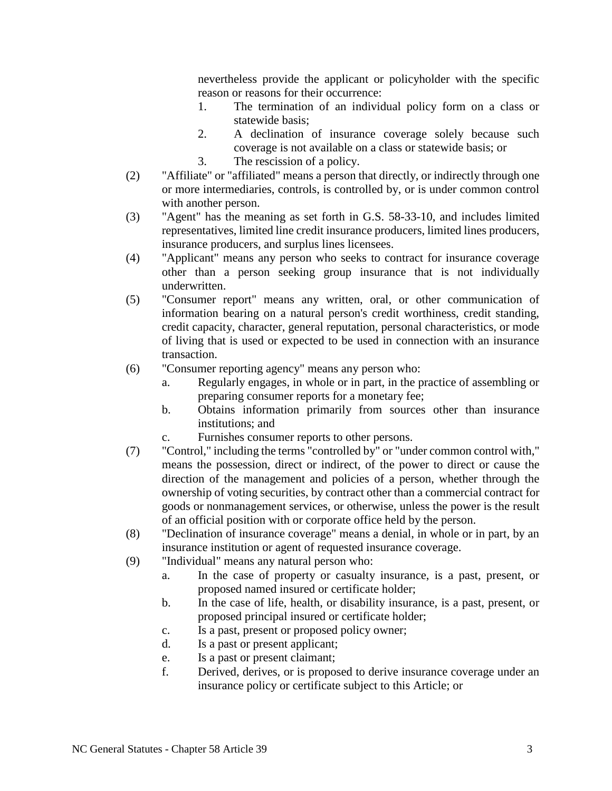nevertheless provide the applicant or policyholder with the specific reason or reasons for their occurrence:

- 1. The termination of an individual policy form on a class or statewide basis;
- 2. A declination of insurance coverage solely because such coverage is not available on a class or statewide basis; or
- 3. The rescission of a policy.
- (2) "Affiliate" or "affiliated" means a person that directly, or indirectly through one or more intermediaries, controls, is controlled by, or is under common control with another person.
- (3) "Agent" has the meaning as set forth in G.S. 58-33-10, and includes limited representatives, limited line credit insurance producers, limited lines producers, insurance producers, and surplus lines licensees.
- (4) "Applicant" means any person who seeks to contract for insurance coverage other than a person seeking group insurance that is not individually underwritten.
- (5) "Consumer report" means any written, oral, or other communication of information bearing on a natural person's credit worthiness, credit standing, credit capacity, character, general reputation, personal characteristics, or mode of living that is used or expected to be used in connection with an insurance transaction.
- (6) "Consumer reporting agency" means any person who:
	- a. Regularly engages, in whole or in part, in the practice of assembling or preparing consumer reports for a monetary fee;
	- b. Obtains information primarily from sources other than insurance institutions; and
	- c. Furnishes consumer reports to other persons.
- (7) "Control," including the terms "controlled by" or "under common control with," means the possession, direct or indirect, of the power to direct or cause the direction of the management and policies of a person, whether through the ownership of voting securities, by contract other than a commercial contract for goods or nonmanagement services, or otherwise, unless the power is the result of an official position with or corporate office held by the person.
- (8) "Declination of insurance coverage" means a denial, in whole or in part, by an insurance institution or agent of requested insurance coverage.
- (9) "Individual" means any natural person who:
	- a. In the case of property or casualty insurance, is a past, present, or proposed named insured or certificate holder;
	- b. In the case of life, health, or disability insurance, is a past, present, or proposed principal insured or certificate holder;
	- c. Is a past, present or proposed policy owner;
	- d. Is a past or present applicant;
	- e. Is a past or present claimant;
	- f. Derived, derives, or is proposed to derive insurance coverage under an insurance policy or certificate subject to this Article; or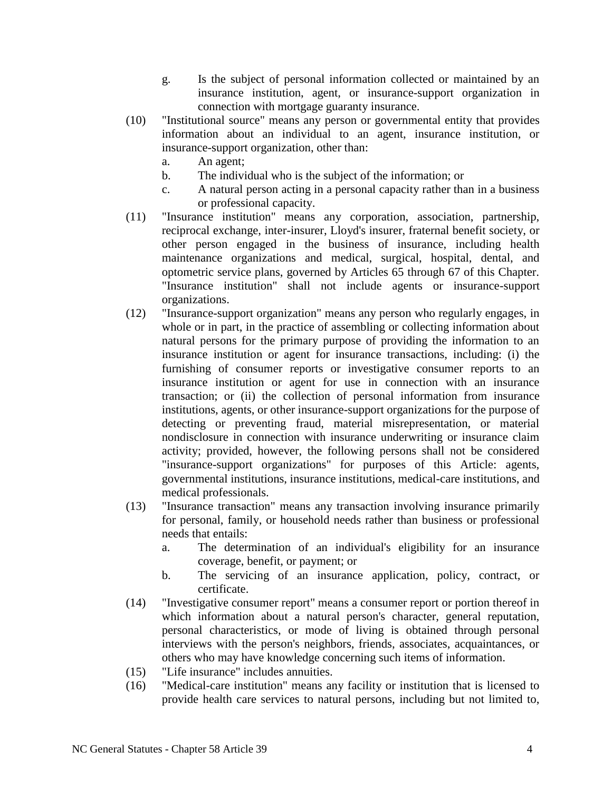- g. Is the subject of personal information collected or maintained by an insurance institution, agent, or insurance-support organization in connection with mortgage guaranty insurance.
- (10) "Institutional source" means any person or governmental entity that provides information about an individual to an agent, insurance institution, or insurance-support organization, other than:
	- a. An agent;
	- b. The individual who is the subject of the information; or
	- c. A natural person acting in a personal capacity rather than in a business or professional capacity.
- (11) "Insurance institution" means any corporation, association, partnership, reciprocal exchange, inter-insurer, Lloyd's insurer, fraternal benefit society, or other person engaged in the business of insurance, including health maintenance organizations and medical, surgical, hospital, dental, and optometric service plans, governed by Articles 65 through 67 of this Chapter. "Insurance institution" shall not include agents or insurance-support organizations.
- (12) "Insurance-support organization" means any person who regularly engages, in whole or in part, in the practice of assembling or collecting information about natural persons for the primary purpose of providing the information to an insurance institution or agent for insurance transactions, including: (i) the furnishing of consumer reports or investigative consumer reports to an insurance institution or agent for use in connection with an insurance transaction; or (ii) the collection of personal information from insurance institutions, agents, or other insurance-support organizations for the purpose of detecting or preventing fraud, material misrepresentation, or material nondisclosure in connection with insurance underwriting or insurance claim activity; provided, however, the following persons shall not be considered "insurance-support organizations" for purposes of this Article: agents, governmental institutions, insurance institutions, medical-care institutions, and medical professionals.
- (13) "Insurance transaction" means any transaction involving insurance primarily for personal, family, or household needs rather than business or professional needs that entails:
	- a. The determination of an individual's eligibility for an insurance coverage, benefit, or payment; or
	- b. The servicing of an insurance application, policy, contract, or certificate.
- (14) "Investigative consumer report" means a consumer report or portion thereof in which information about a natural person's character, general reputation, personal characteristics, or mode of living is obtained through personal interviews with the person's neighbors, friends, associates, acquaintances, or others who may have knowledge concerning such items of information.
- (15) "Life insurance" includes annuities.
- (16) "Medical-care institution" means any facility or institution that is licensed to provide health care services to natural persons, including but not limited to,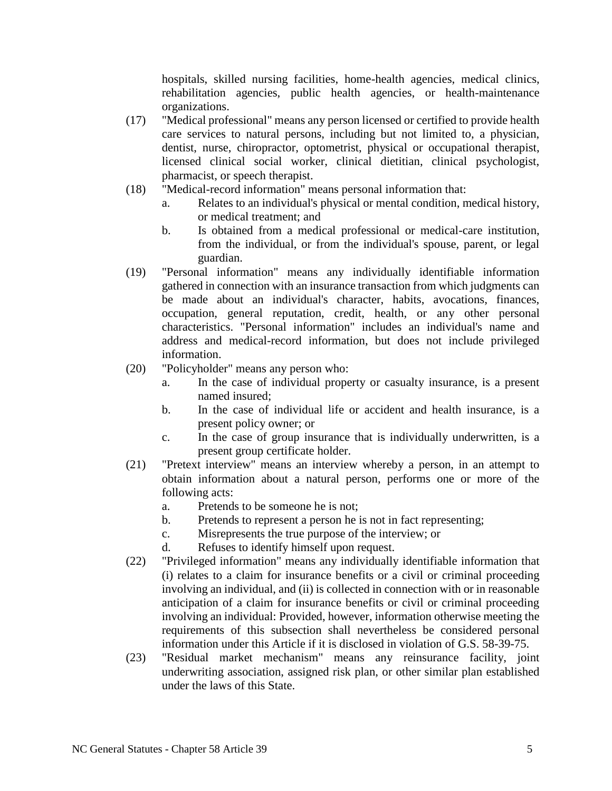hospitals, skilled nursing facilities, home-health agencies, medical clinics, rehabilitation agencies, public health agencies, or health-maintenance organizations.

- (17) "Medical professional" means any person licensed or certified to provide health care services to natural persons, including but not limited to, a physician, dentist, nurse, chiropractor, optometrist, physical or occupational therapist, licensed clinical social worker, clinical dietitian, clinical psychologist, pharmacist, or speech therapist.
- (18) "Medical-record information" means personal information that:
	- a. Relates to an individual's physical or mental condition, medical history, or medical treatment; and
	- b. Is obtained from a medical professional or medical-care institution, from the individual, or from the individual's spouse, parent, or legal guardian.
- (19) "Personal information" means any individually identifiable information gathered in connection with an insurance transaction from which judgments can be made about an individual's character, habits, avocations, finances, occupation, general reputation, credit, health, or any other personal characteristics. "Personal information" includes an individual's name and address and medical-record information, but does not include privileged information.
- (20) "Policyholder" means any person who:
	- a. In the case of individual property or casualty insurance, is a present named insured;
	- b. In the case of individual life or accident and health insurance, is a present policy owner; or
	- c. In the case of group insurance that is individually underwritten, is a present group certificate holder.
- (21) "Pretext interview" means an interview whereby a person, in an attempt to obtain information about a natural person, performs one or more of the following acts:
	- a. Pretends to be someone he is not;
	- b. Pretends to represent a person he is not in fact representing;
	- c. Misrepresents the true purpose of the interview; or
	- d. Refuses to identify himself upon request.
- (22) "Privileged information" means any individually identifiable information that (i) relates to a claim for insurance benefits or a civil or criminal proceeding involving an individual, and (ii) is collected in connection with or in reasonable anticipation of a claim for insurance benefits or civil or criminal proceeding involving an individual: Provided, however, information otherwise meeting the requirements of this subsection shall nevertheless be considered personal information under this Article if it is disclosed in violation of G.S. 58-39-75.
- (23) "Residual market mechanism" means any reinsurance facility, joint underwriting association, assigned risk plan, or other similar plan established under the laws of this State.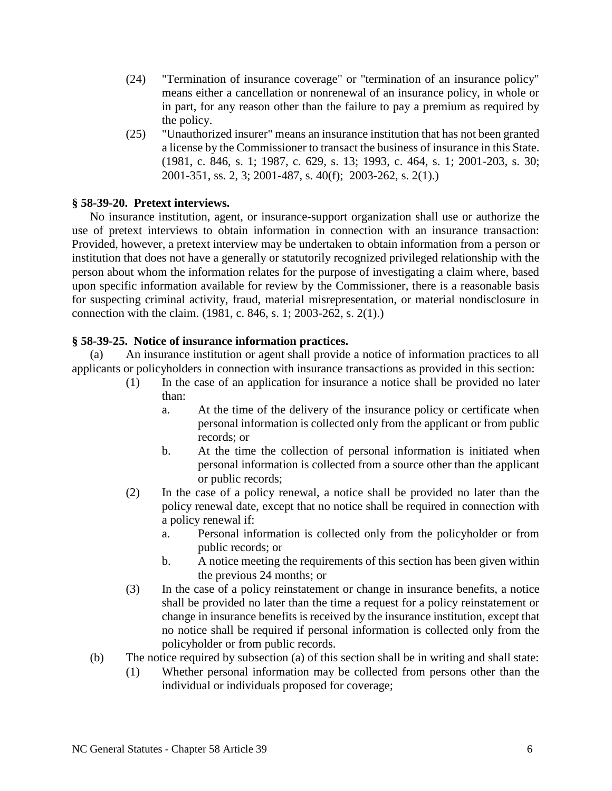- (24) "Termination of insurance coverage" or "termination of an insurance policy" means either a cancellation or nonrenewal of an insurance policy, in whole or in part, for any reason other than the failure to pay a premium as required by the policy.
- (25) "Unauthorized insurer" means an insurance institution that has not been granted a license by the Commissioner to transact the business of insurance in this State. (1981, c. 846, s. 1; 1987, c. 629, s. 13; 1993, c. 464, s. 1; 2001-203, s. 30; 2001-351, ss. 2, 3; 2001-487, s. 40(f); 2003-262, s. 2(1).)

## **§ 58-39-20. Pretext interviews.**

No insurance institution, agent, or insurance-support organization shall use or authorize the use of pretext interviews to obtain information in connection with an insurance transaction: Provided, however, a pretext interview may be undertaken to obtain information from a person or institution that does not have a generally or statutorily recognized privileged relationship with the person about whom the information relates for the purpose of investigating a claim where, based upon specific information available for review by the Commissioner, there is a reasonable basis for suspecting criminal activity, fraud, material misrepresentation, or material nondisclosure in connection with the claim. (1981, c. 846, s. 1; 2003-262, s. 2(1).)

## **§ 58-39-25. Notice of insurance information practices.**

(a) An insurance institution or agent shall provide a notice of information practices to all applicants or policyholders in connection with insurance transactions as provided in this section:

- (1) In the case of an application for insurance a notice shall be provided no later than:
	- a. At the time of the delivery of the insurance policy or certificate when personal information is collected only from the applicant or from public records; or
	- b. At the time the collection of personal information is initiated when personal information is collected from a source other than the applicant or public records;
- (2) In the case of a policy renewal, a notice shall be provided no later than the policy renewal date, except that no notice shall be required in connection with a policy renewal if:
	- a. Personal information is collected only from the policyholder or from public records; or
	- b. A notice meeting the requirements of this section has been given within the previous 24 months; or
- (3) In the case of a policy reinstatement or change in insurance benefits, a notice shall be provided no later than the time a request for a policy reinstatement or change in insurance benefits is received by the insurance institution, except that no notice shall be required if personal information is collected only from the policyholder or from public records.
- (b) The notice required by subsection (a) of this section shall be in writing and shall state:
	- (1) Whether personal information may be collected from persons other than the individual or individuals proposed for coverage;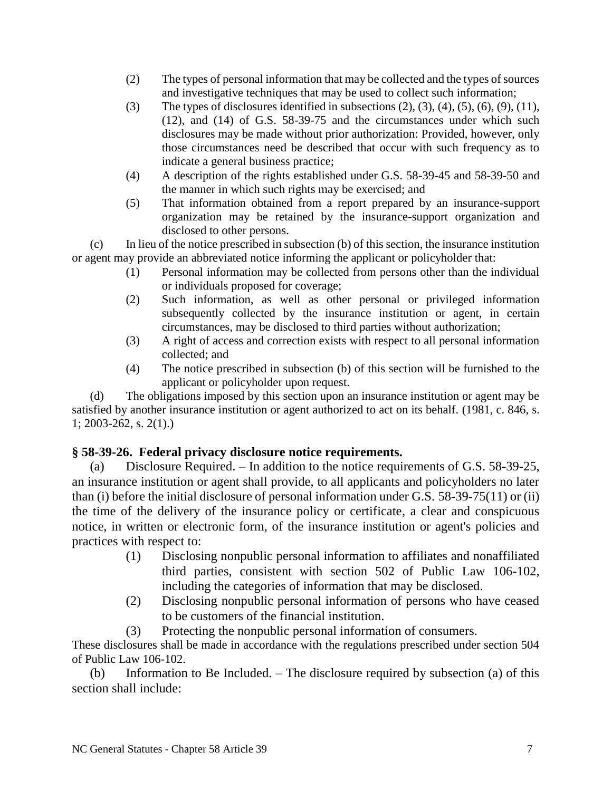- (2) The types of personal information that may be collected and the types of sources and investigative techniques that may be used to collect such information;
- (3) The types of disclosures identified in subsections  $(2)$ ,  $(3)$ ,  $(4)$ ,  $(5)$ ,  $(6)$ ,  $(9)$ ,  $(11)$ , (12), and (14) of G.S. 58-39-75 and the circumstances under which such disclosures may be made without prior authorization: Provided, however, only those circumstances need be described that occur with such frequency as to indicate a general business practice;
- (4) A description of the rights established under G.S. 58-39-45 and 58-39-50 and the manner in which such rights may be exercised; and
- (5) That information obtained from a report prepared by an insurance-support organization may be retained by the insurance-support organization and disclosed to other persons.

(c) In lieu of the notice prescribed in subsection (b) of this section, the insurance institution or agent may provide an abbreviated notice informing the applicant or policyholder that:

- (1) Personal information may be collected from persons other than the individual or individuals proposed for coverage;
- (2) Such information, as well as other personal or privileged information subsequently collected by the insurance institution or agent, in certain circumstances, may be disclosed to third parties without authorization;
- (3) A right of access and correction exists with respect to all personal information collected; and
- (4) The notice prescribed in subsection (b) of this section will be furnished to the applicant or policyholder upon request.

(d) The obligations imposed by this section upon an insurance institution or agent may be satisfied by another insurance institution or agent authorized to act on its behalf. (1981, c. 846, s. 1; 2003-262, s. 2(1).)

# **§ 58-39-26. Federal privacy disclosure notice requirements.**

(a) Disclosure Required. – In addition to the notice requirements of G.S. 58-39-25, an insurance institution or agent shall provide, to all applicants and policyholders no later than (i) before the initial disclosure of personal information under G.S.  $58-39-75(11)$  or (ii) the time of the delivery of the insurance policy or certificate, a clear and conspicuous notice, in written or electronic form, of the insurance institution or agent's policies and practices with respect to:

- (1) Disclosing nonpublic personal information to affiliates and nonaffiliated third parties, consistent with section 502 of Public Law 106-102, including the categories of information that may be disclosed.
- (2) Disclosing nonpublic personal information of persons who have ceased to be customers of the financial institution.
- (3) Protecting the nonpublic personal information of consumers.

These disclosures shall be made in accordance with the regulations prescribed under section 504 of Public Law 106-102.

(b) Information to Be Included. – The disclosure required by subsection (a) of this section shall include: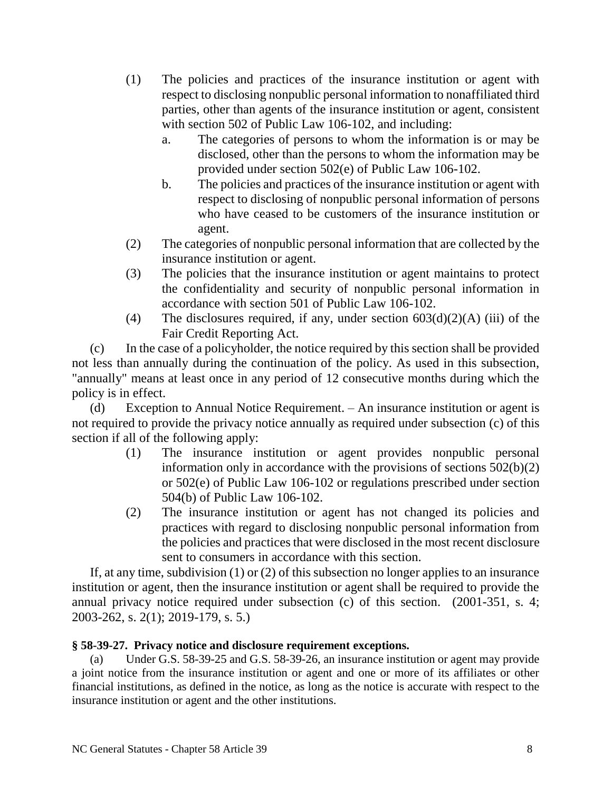- (1) The policies and practices of the insurance institution or agent with respect to disclosing nonpublic personal information to nonaffiliated third parties, other than agents of the insurance institution or agent, consistent with section 502 of Public Law 106-102, and including:
	- a. The categories of persons to whom the information is or may be disclosed, other than the persons to whom the information may be provided under section 502(e) of Public Law 106-102.
	- b. The policies and practices of the insurance institution or agent with respect to disclosing of nonpublic personal information of persons who have ceased to be customers of the insurance institution or agent.
- (2) The categories of nonpublic personal information that are collected by the insurance institution or agent.
- (3) The policies that the insurance institution or agent maintains to protect the confidentiality and security of nonpublic personal information in accordance with section 501 of Public Law 106-102.
- (4) The disclosures required, if any, under section  $603(d)(2)(A)$  (iii) of the Fair Credit Reporting Act.

(c) In the case of a policyholder, the notice required by this section shall be provided not less than annually during the continuation of the policy. As used in this subsection, "annually" means at least once in any period of 12 consecutive months during which the policy is in effect.

(d) Exception to Annual Notice Requirement. – An insurance institution or agent is not required to provide the privacy notice annually as required under subsection (c) of this section if all of the following apply:

- (1) The insurance institution or agent provides nonpublic personal information only in accordance with the provisions of sections  $502(b)(2)$ or 502(e) of Public Law 106-102 or regulations prescribed under section 504(b) of Public Law 106-102.
- (2) The insurance institution or agent has not changed its policies and practices with regard to disclosing nonpublic personal information from the policies and practices that were disclosed in the most recent disclosure sent to consumers in accordance with this section.

If, at any time, subdivision (1) or (2) of this subsection no longer applies to an insurance institution or agent, then the insurance institution or agent shall be required to provide the annual privacy notice required under subsection (c) of this section. (2001-351, s. 4; 2003-262, s. 2(1); 2019-179, s. 5.)

# **§ 58-39-27. Privacy notice and disclosure requirement exceptions.**

(a) Under G.S. 58-39-25 and G.S. 58-39-26, an insurance institution or agent may provide a joint notice from the insurance institution or agent and one or more of its affiliates or other financial institutions, as defined in the notice, as long as the notice is accurate with respect to the insurance institution or agent and the other institutions.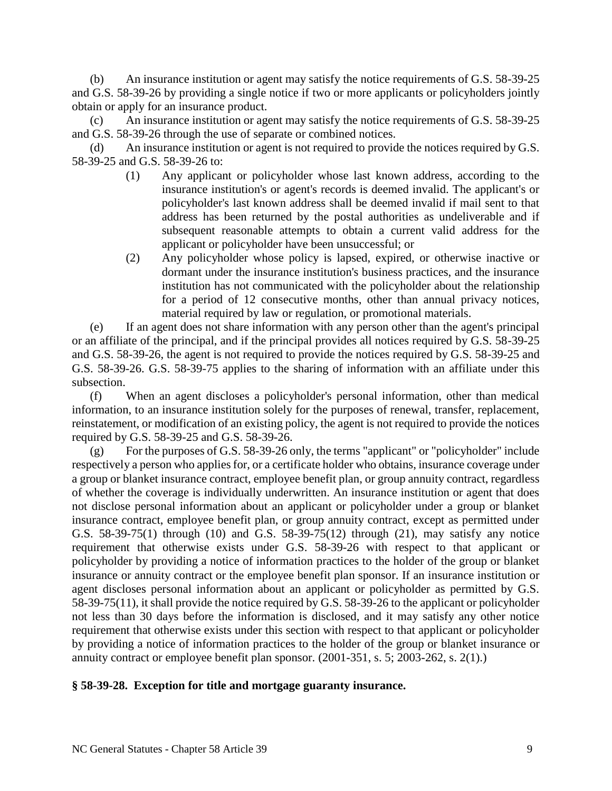(b) An insurance institution or agent may satisfy the notice requirements of G.S. 58-39-25 and G.S. 58-39-26 by providing a single notice if two or more applicants or policyholders jointly obtain or apply for an insurance product.

(c) An insurance institution or agent may satisfy the notice requirements of G.S. 58-39-25 and G.S. 58-39-26 through the use of separate or combined notices.

(d) An insurance institution or agent is not required to provide the notices required by G.S. 58-39-25 and G.S. 58-39-26 to:

- (1) Any applicant or policyholder whose last known address, according to the insurance institution's or agent's records is deemed invalid. The applicant's or policyholder's last known address shall be deemed invalid if mail sent to that address has been returned by the postal authorities as undeliverable and if subsequent reasonable attempts to obtain a current valid address for the applicant or policyholder have been unsuccessful; or
- (2) Any policyholder whose policy is lapsed, expired, or otherwise inactive or dormant under the insurance institution's business practices, and the insurance institution has not communicated with the policyholder about the relationship for a period of 12 consecutive months, other than annual privacy notices, material required by law or regulation, or promotional materials.

(e) If an agent does not share information with any person other than the agent's principal or an affiliate of the principal, and if the principal provides all notices required by G.S. 58-39-25 and G.S. 58-39-26, the agent is not required to provide the notices required by G.S. 58-39-25 and G.S. 58-39-26. G.S. 58-39-75 applies to the sharing of information with an affiliate under this subsection.

(f) When an agent discloses a policyholder's personal information, other than medical information, to an insurance institution solely for the purposes of renewal, transfer, replacement, reinstatement, or modification of an existing policy, the agent is not required to provide the notices required by G.S. 58-39-25 and G.S. 58-39-26.

(g) For the purposes of G.S. 58-39-26 only, the terms "applicant" or "policyholder" include respectively a person who applies for, or a certificate holder who obtains, insurance coverage under a group or blanket insurance contract, employee benefit plan, or group annuity contract, regardless of whether the coverage is individually underwritten. An insurance institution or agent that does not disclose personal information about an applicant or policyholder under a group or blanket insurance contract, employee benefit plan, or group annuity contract, except as permitted under G.S. 58-39-75(1) through (10) and G.S. 58-39-75(12) through (21), may satisfy any notice requirement that otherwise exists under G.S. 58-39-26 with respect to that applicant or policyholder by providing a notice of information practices to the holder of the group or blanket insurance or annuity contract or the employee benefit plan sponsor. If an insurance institution or agent discloses personal information about an applicant or policyholder as permitted by G.S. 58-39-75(11), it shall provide the notice required by G.S. 58-39-26 to the applicant or policyholder not less than 30 days before the information is disclosed, and it may satisfy any other notice requirement that otherwise exists under this section with respect to that applicant or policyholder by providing a notice of information practices to the holder of the group or blanket insurance or annuity contract or employee benefit plan sponsor. (2001-351, s. 5; 2003-262, s. 2(1).)

## **§ 58-39-28. Exception for title and mortgage guaranty insurance.**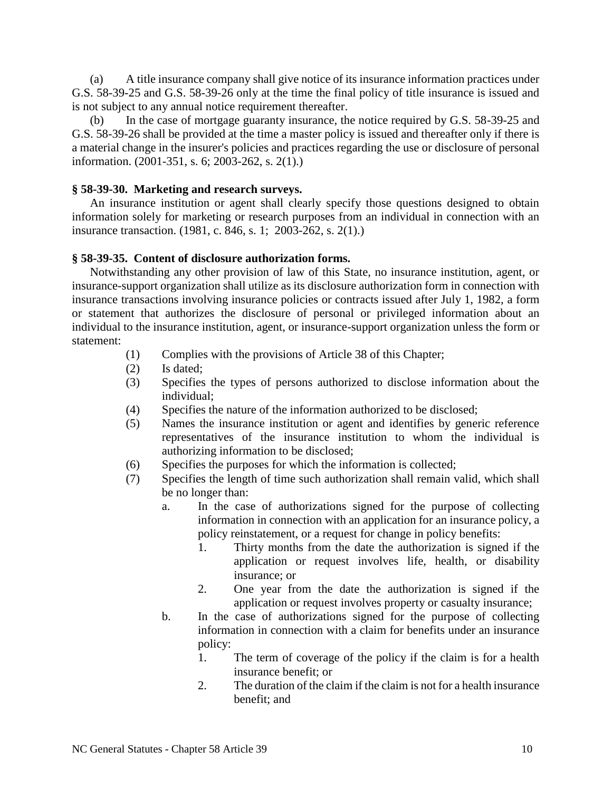(a) A title insurance company shall give notice of its insurance information practices under G.S. 58-39-25 and G.S. 58-39-26 only at the time the final policy of title insurance is issued and is not subject to any annual notice requirement thereafter.

(b) In the case of mortgage guaranty insurance, the notice required by G.S. 58-39-25 and G.S. 58-39-26 shall be provided at the time a master policy is issued and thereafter only if there is a material change in the insurer's policies and practices regarding the use or disclosure of personal information. (2001-351, s. 6; 2003-262, s. 2(1).)

## **§ 58-39-30. Marketing and research surveys.**

An insurance institution or agent shall clearly specify those questions designed to obtain information solely for marketing or research purposes from an individual in connection with an insurance transaction. (1981, c. 846, s. 1; 2003-262, s. 2(1).)

### **§ 58-39-35. Content of disclosure authorization forms.**

Notwithstanding any other provision of law of this State, no insurance institution, agent, or insurance-support organization shall utilize as its disclosure authorization form in connection with insurance transactions involving insurance policies or contracts issued after July 1, 1982, a form or statement that authorizes the disclosure of personal or privileged information about an individual to the insurance institution, agent, or insurance-support organization unless the form or statement:

- (1) Complies with the provisions of Article 38 of this Chapter;
- (2) Is dated;
- (3) Specifies the types of persons authorized to disclose information about the individual;
- (4) Specifies the nature of the information authorized to be disclosed;
- (5) Names the insurance institution or agent and identifies by generic reference representatives of the insurance institution to whom the individual is authorizing information to be disclosed;
- (6) Specifies the purposes for which the information is collected;
- (7) Specifies the length of time such authorization shall remain valid, which shall be no longer than:
	- a. In the case of authorizations signed for the purpose of collecting information in connection with an application for an insurance policy, a policy reinstatement, or a request for change in policy benefits:
		- 1. Thirty months from the date the authorization is signed if the application or request involves life, health, or disability insurance; or
		- 2. One year from the date the authorization is signed if the application or request involves property or casualty insurance;
	- b. In the case of authorizations signed for the purpose of collecting information in connection with a claim for benefits under an insurance policy:
		- 1. The term of coverage of the policy if the claim is for a health insurance benefit; or
		- 2. The duration of the claim if the claim is not for a health insurance benefit; and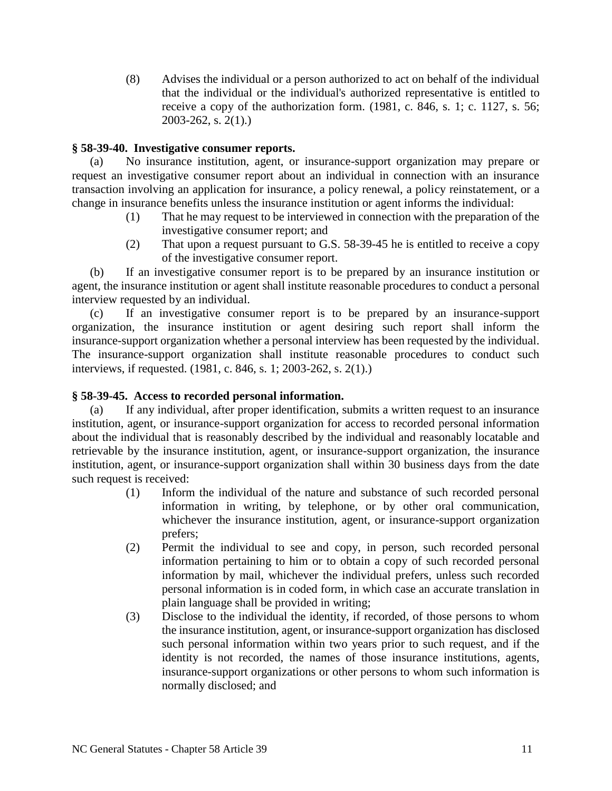(8) Advises the individual or a person authorized to act on behalf of the individual that the individual or the individual's authorized representative is entitled to receive a copy of the authorization form. (1981, c. 846, s. 1; c. 1127, s. 56; 2003-262, s. 2(1).)

## **§ 58-39-40. Investigative consumer reports.**

(a) No insurance institution, agent, or insurance-support organization may prepare or request an investigative consumer report about an individual in connection with an insurance transaction involving an application for insurance, a policy renewal, a policy reinstatement, or a change in insurance benefits unless the insurance institution or agent informs the individual:

- (1) That he may request to be interviewed in connection with the preparation of the investigative consumer report; and
- (2) That upon a request pursuant to G.S. 58-39-45 he is entitled to receive a copy of the investigative consumer report.

(b) If an investigative consumer report is to be prepared by an insurance institution or agent, the insurance institution or agent shall institute reasonable procedures to conduct a personal interview requested by an individual.

(c) If an investigative consumer report is to be prepared by an insurance-support organization, the insurance institution or agent desiring such report shall inform the insurance-support organization whether a personal interview has been requested by the individual. The insurance-support organization shall institute reasonable procedures to conduct such interviews, if requested. (1981, c. 846, s. 1; 2003-262, s. 2(1).)

#### **§ 58-39-45. Access to recorded personal information.**

(a) If any individual, after proper identification, submits a written request to an insurance institution, agent, or insurance-support organization for access to recorded personal information about the individual that is reasonably described by the individual and reasonably locatable and retrievable by the insurance institution, agent, or insurance-support organization, the insurance institution, agent, or insurance-support organization shall within 30 business days from the date such request is received:

- (1) Inform the individual of the nature and substance of such recorded personal information in writing, by telephone, or by other oral communication, whichever the insurance institution, agent, or insurance-support organization prefers;
- (2) Permit the individual to see and copy, in person, such recorded personal information pertaining to him or to obtain a copy of such recorded personal information by mail, whichever the individual prefers, unless such recorded personal information is in coded form, in which case an accurate translation in plain language shall be provided in writing;
- (3) Disclose to the individual the identity, if recorded, of those persons to whom the insurance institution, agent, or insurance-support organization has disclosed such personal information within two years prior to such request, and if the identity is not recorded, the names of those insurance institutions, agents, insurance-support organizations or other persons to whom such information is normally disclosed; and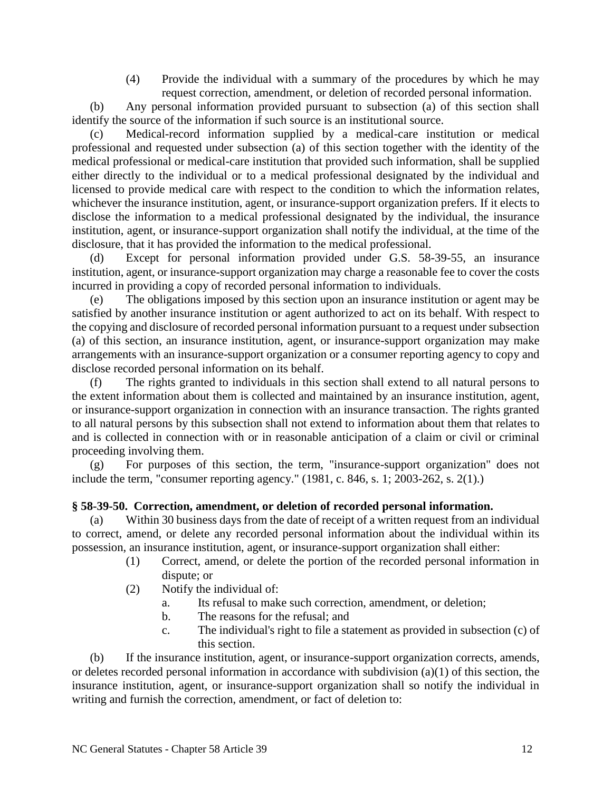(4) Provide the individual with a summary of the procedures by which he may request correction, amendment, or deletion of recorded personal information.

(b) Any personal information provided pursuant to subsection (a) of this section shall identify the source of the information if such source is an institutional source.

(c) Medical-record information supplied by a medical-care institution or medical professional and requested under subsection (a) of this section together with the identity of the medical professional or medical-care institution that provided such information, shall be supplied either directly to the individual or to a medical professional designated by the individual and licensed to provide medical care with respect to the condition to which the information relates, whichever the insurance institution, agent, or insurance-support organization prefers. If it elects to disclose the information to a medical professional designated by the individual, the insurance institution, agent, or insurance-support organization shall notify the individual, at the time of the disclosure, that it has provided the information to the medical professional.

(d) Except for personal information provided under G.S. 58-39-55, an insurance institution, agent, or insurance-support organization may charge a reasonable fee to cover the costs incurred in providing a copy of recorded personal information to individuals.

(e) The obligations imposed by this section upon an insurance institution or agent may be satisfied by another insurance institution or agent authorized to act on its behalf. With respect to the copying and disclosure of recorded personal information pursuant to a request under subsection (a) of this section, an insurance institution, agent, or insurance-support organization may make arrangements with an insurance-support organization or a consumer reporting agency to copy and disclose recorded personal information on its behalf.

(f) The rights granted to individuals in this section shall extend to all natural persons to the extent information about them is collected and maintained by an insurance institution, agent, or insurance-support organization in connection with an insurance transaction. The rights granted to all natural persons by this subsection shall not extend to information about them that relates to and is collected in connection with or in reasonable anticipation of a claim or civil or criminal proceeding involving them.

(g) For purposes of this section, the term, "insurance-support organization" does not include the term, "consumer reporting agency." (1981, c. 846, s. 1; 2003-262, s. 2(1).)

## **§ 58-39-50. Correction, amendment, or deletion of recorded personal information.**

(a) Within 30 business days from the date of receipt of a written request from an individual to correct, amend, or delete any recorded personal information about the individual within its possession, an insurance institution, agent, or insurance-support organization shall either:

- (1) Correct, amend, or delete the portion of the recorded personal information in dispute; or
- (2) Notify the individual of:
	- a. Its refusal to make such correction, amendment, or deletion;
	- b. The reasons for the refusal; and
	- c. The individual's right to file a statement as provided in subsection (c) of this section.

(b) If the insurance institution, agent, or insurance-support organization corrects, amends, or deletes recorded personal information in accordance with subdivision (a)(1) of this section, the insurance institution, agent, or insurance-support organization shall so notify the individual in writing and furnish the correction, amendment, or fact of deletion to: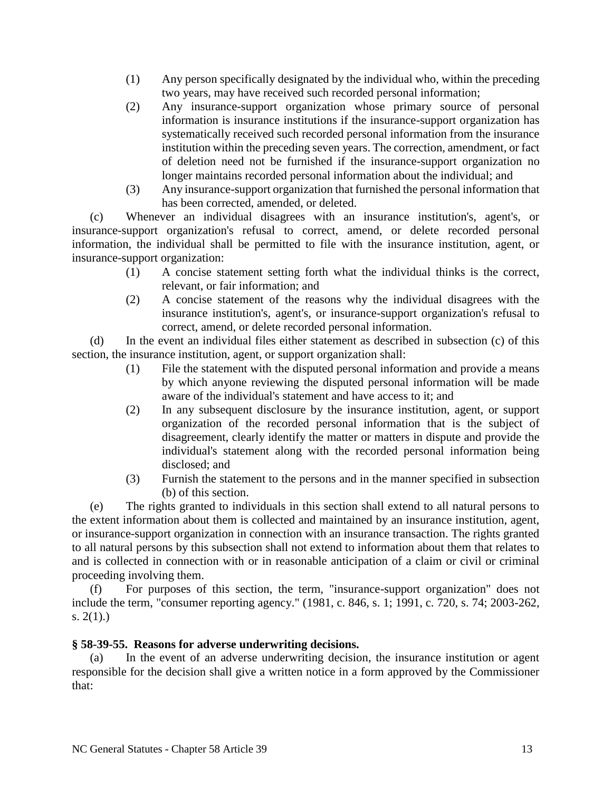- (1) Any person specifically designated by the individual who, within the preceding two years, may have received such recorded personal information;
- (2) Any insurance-support organization whose primary source of personal information is insurance institutions if the insurance-support organization has systematically received such recorded personal information from the insurance institution within the preceding seven years. The correction, amendment, or fact of deletion need not be furnished if the insurance-support organization no longer maintains recorded personal information about the individual; and
- (3) Any insurance-support organization that furnished the personal information that has been corrected, amended, or deleted.

(c) Whenever an individual disagrees with an insurance institution's, agent's, or insurance-support organization's refusal to correct, amend, or delete recorded personal information, the individual shall be permitted to file with the insurance institution, agent, or insurance-support organization:

- (1) A concise statement setting forth what the individual thinks is the correct, relevant, or fair information; and
- (2) A concise statement of the reasons why the individual disagrees with the insurance institution's, agent's, or insurance-support organization's refusal to correct, amend, or delete recorded personal information.

(d) In the event an individual files either statement as described in subsection (c) of this section, the insurance institution, agent, or support organization shall:

- (1) File the statement with the disputed personal information and provide a means by which anyone reviewing the disputed personal information will be made aware of the individual's statement and have access to it; and
- (2) In any subsequent disclosure by the insurance institution, agent, or support organization of the recorded personal information that is the subject of disagreement, clearly identify the matter or matters in dispute and provide the individual's statement along with the recorded personal information being disclosed; and
- (3) Furnish the statement to the persons and in the manner specified in subsection (b) of this section.

(e) The rights granted to individuals in this section shall extend to all natural persons to the extent information about them is collected and maintained by an insurance institution, agent, or insurance-support organization in connection with an insurance transaction. The rights granted to all natural persons by this subsection shall not extend to information about them that relates to and is collected in connection with or in reasonable anticipation of a claim or civil or criminal proceeding involving them.

(f) For purposes of this section, the term, "insurance-support organization" does not include the term, "consumer reporting agency." (1981, c. 846, s. 1; 1991, c. 720, s. 74; 2003-262, s.  $2(1)$ .)

## **§ 58-39-55. Reasons for adverse underwriting decisions.**

(a) In the event of an adverse underwriting decision, the insurance institution or agent responsible for the decision shall give a written notice in a form approved by the Commissioner that: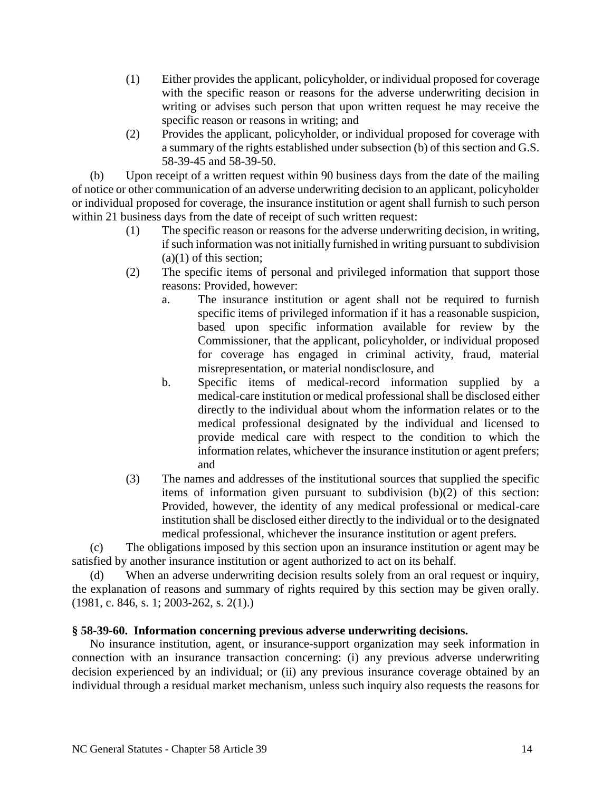- (1) Either provides the applicant, policyholder, or individual proposed for coverage with the specific reason or reasons for the adverse underwriting decision in writing or advises such person that upon written request he may receive the specific reason or reasons in writing; and
- (2) Provides the applicant, policyholder, or individual proposed for coverage with a summary of the rights established under subsection (b) of this section and G.S. 58-39-45 and 58-39-50.

(b) Upon receipt of a written request within 90 business days from the date of the mailing of notice or other communication of an adverse underwriting decision to an applicant, policyholder or individual proposed for coverage, the insurance institution or agent shall furnish to such person within 21 business days from the date of receipt of such written request:

- (1) The specific reason or reasons for the adverse underwriting decision, in writing, if such information was not initially furnished in writing pursuant to subdivision (a)(1) of this section;
- (2) The specific items of personal and privileged information that support those reasons: Provided, however:
	- a. The insurance institution or agent shall not be required to furnish specific items of privileged information if it has a reasonable suspicion, based upon specific information available for review by the Commissioner, that the applicant, policyholder, or individual proposed for coverage has engaged in criminal activity, fraud, material misrepresentation, or material nondisclosure, and
	- b. Specific items of medical-record information supplied by a medical-care institution or medical professional shall be disclosed either directly to the individual about whom the information relates or to the medical professional designated by the individual and licensed to provide medical care with respect to the condition to which the information relates, whichever the insurance institution or agent prefers; and
- (3) The names and addresses of the institutional sources that supplied the specific items of information given pursuant to subdivision (b)(2) of this section: Provided, however, the identity of any medical professional or medical-care institution shall be disclosed either directly to the individual or to the designated medical professional, whichever the insurance institution or agent prefers.

(c) The obligations imposed by this section upon an insurance institution or agent may be satisfied by another insurance institution or agent authorized to act on its behalf.

(d) When an adverse underwriting decision results solely from an oral request or inquiry, the explanation of reasons and summary of rights required by this section may be given orally. (1981, c. 846, s. 1; 2003-262, s. 2(1).)

## **§ 58-39-60. Information concerning previous adverse underwriting decisions.**

No insurance institution, agent, or insurance-support organization may seek information in connection with an insurance transaction concerning: (i) any previous adverse underwriting decision experienced by an individual; or (ii) any previous insurance coverage obtained by an individual through a residual market mechanism, unless such inquiry also requests the reasons for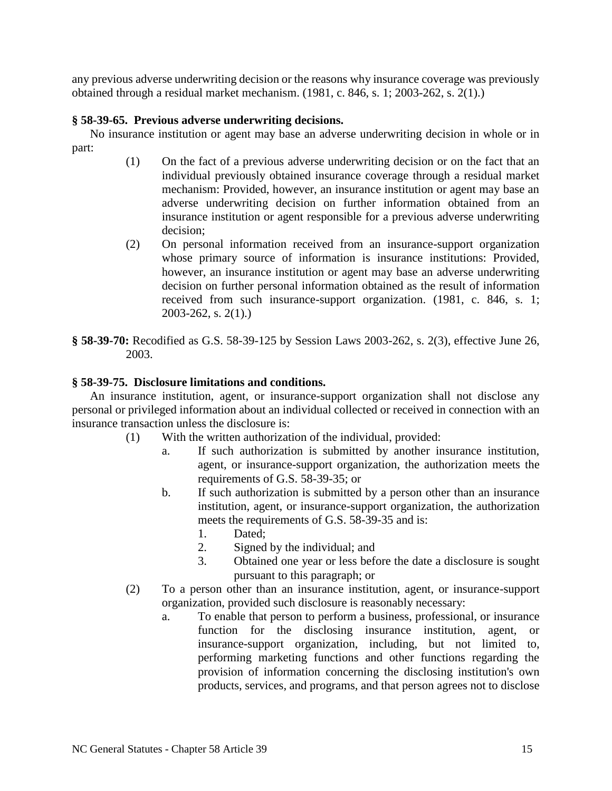any previous adverse underwriting decision or the reasons why insurance coverage was previously obtained through a residual market mechanism. (1981, c. 846, s. 1; 2003-262, s. 2(1).)

## **§ 58-39-65. Previous adverse underwriting decisions.**

No insurance institution or agent may base an adverse underwriting decision in whole or in part:

- (1) On the fact of a previous adverse underwriting decision or on the fact that an individual previously obtained insurance coverage through a residual market mechanism: Provided, however, an insurance institution or agent may base an adverse underwriting decision on further information obtained from an insurance institution or agent responsible for a previous adverse underwriting decision;
- (2) On personal information received from an insurance-support organization whose primary source of information is insurance institutions: Provided, however, an insurance institution or agent may base an adverse underwriting decision on further personal information obtained as the result of information received from such insurance-support organization. (1981, c. 846, s. 1; 2003-262, s. 2(1).)
- **§ 58-39-70:** Recodified as G.S. 58-39-125 by Session Laws 2003-262, s. 2(3), effective June 26, 2003.

## **§ 58-39-75. Disclosure limitations and conditions.**

An insurance institution, agent, or insurance-support organization shall not disclose any personal or privileged information about an individual collected or received in connection with an insurance transaction unless the disclosure is:

- (1) With the written authorization of the individual, provided:
	- a. If such authorization is submitted by another insurance institution, agent, or insurance-support organization, the authorization meets the requirements of G.S. 58-39-35; or
	- b. If such authorization is submitted by a person other than an insurance institution, agent, or insurance-support organization, the authorization meets the requirements of G.S. 58-39-35 and is:
		- 1. Dated;
		- 2. Signed by the individual; and
		- 3. Obtained one year or less before the date a disclosure is sought pursuant to this paragraph; or
- (2) To a person other than an insurance institution, agent, or insurance-support organization, provided such disclosure is reasonably necessary:
	- a. To enable that person to perform a business, professional, or insurance function for the disclosing insurance institution, agent, or insurance-support organization, including, but not limited to, performing marketing functions and other functions regarding the provision of information concerning the disclosing institution's own products, services, and programs, and that person agrees not to disclose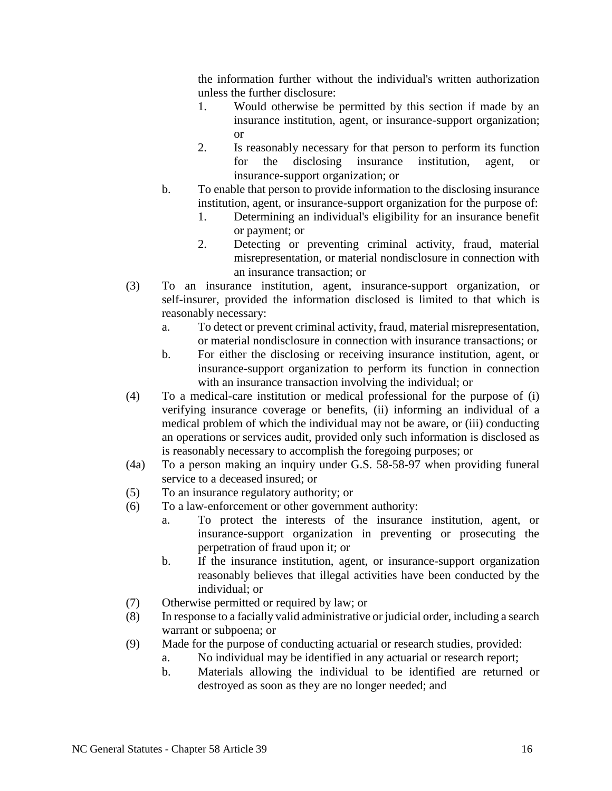the information further without the individual's written authorization unless the further disclosure:

- 1. Would otherwise be permitted by this section if made by an insurance institution, agent, or insurance-support organization; or
- 2. Is reasonably necessary for that person to perform its function for the disclosing insurance institution, agent, or insurance-support organization; or
- b. To enable that person to provide information to the disclosing insurance institution, agent, or insurance-support organization for the purpose of:
	- 1. Determining an individual's eligibility for an insurance benefit or payment; or
	- 2. Detecting or preventing criminal activity, fraud, material misrepresentation, or material nondisclosure in connection with an insurance transaction; or
- (3) To an insurance institution, agent, insurance-support organization, or self-insurer, provided the information disclosed is limited to that which is reasonably necessary:
	- a. To detect or prevent criminal activity, fraud, material misrepresentation, or material nondisclosure in connection with insurance transactions; or
	- b. For either the disclosing or receiving insurance institution, agent, or insurance-support organization to perform its function in connection with an insurance transaction involving the individual; or
- (4) To a medical-care institution or medical professional for the purpose of (i) verifying insurance coverage or benefits, (ii) informing an individual of a medical problem of which the individual may not be aware, or (iii) conducting an operations or services audit, provided only such information is disclosed as is reasonably necessary to accomplish the foregoing purposes; or
- (4a) To a person making an inquiry under G.S. 58-58-97 when providing funeral service to a deceased insured; or
- (5) To an insurance regulatory authority; or
- (6) To a law-enforcement or other government authority:
	- a. To protect the interests of the insurance institution, agent, or insurance-support organization in preventing or prosecuting the perpetration of fraud upon it; or
	- b. If the insurance institution, agent, or insurance-support organization reasonably believes that illegal activities have been conducted by the individual; or
- (7) Otherwise permitted or required by law; or
- (8) In response to a facially valid administrative or judicial order, including a search warrant or subpoena; or
- (9) Made for the purpose of conducting actuarial or research studies, provided:
	- a. No individual may be identified in any actuarial or research report;
	- b. Materials allowing the individual to be identified are returned or destroyed as soon as they are no longer needed; and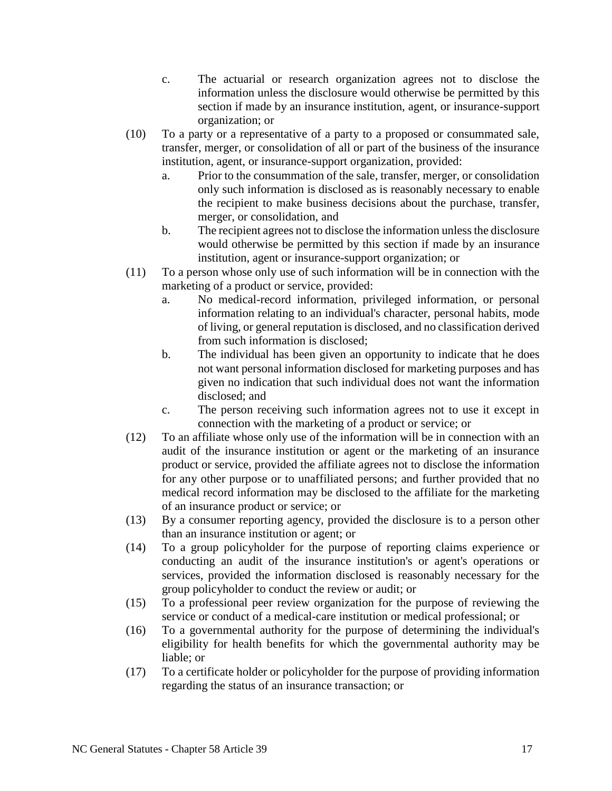- c. The actuarial or research organization agrees not to disclose the information unless the disclosure would otherwise be permitted by this section if made by an insurance institution, agent, or insurance-support organization; or
- (10) To a party or a representative of a party to a proposed or consummated sale, transfer, merger, or consolidation of all or part of the business of the insurance institution, agent, or insurance-support organization, provided:
	- a. Prior to the consummation of the sale, transfer, merger, or consolidation only such information is disclosed as is reasonably necessary to enable the recipient to make business decisions about the purchase, transfer, merger, or consolidation, and
	- b. The recipient agrees not to disclose the information unless the disclosure would otherwise be permitted by this section if made by an insurance institution, agent or insurance-support organization; or
- (11) To a person whose only use of such information will be in connection with the marketing of a product or service, provided:
	- a. No medical-record information, privileged information, or personal information relating to an individual's character, personal habits, mode of living, or general reputation is disclosed, and no classification derived from such information is disclosed;
	- b. The individual has been given an opportunity to indicate that he does not want personal information disclosed for marketing purposes and has given no indication that such individual does not want the information disclosed; and
	- c. The person receiving such information agrees not to use it except in connection with the marketing of a product or service; or
- (12) To an affiliate whose only use of the information will be in connection with an audit of the insurance institution or agent or the marketing of an insurance product or service, provided the affiliate agrees not to disclose the information for any other purpose or to unaffiliated persons; and further provided that no medical record information may be disclosed to the affiliate for the marketing of an insurance product or service; or
- (13) By a consumer reporting agency, provided the disclosure is to a person other than an insurance institution or agent; or
- (14) To a group policyholder for the purpose of reporting claims experience or conducting an audit of the insurance institution's or agent's operations or services, provided the information disclosed is reasonably necessary for the group policyholder to conduct the review or audit; or
- (15) To a professional peer review organization for the purpose of reviewing the service or conduct of a medical-care institution or medical professional; or
- (16) To a governmental authority for the purpose of determining the individual's eligibility for health benefits for which the governmental authority may be liable; or
- (17) To a certificate holder or policyholder for the purpose of providing information regarding the status of an insurance transaction; or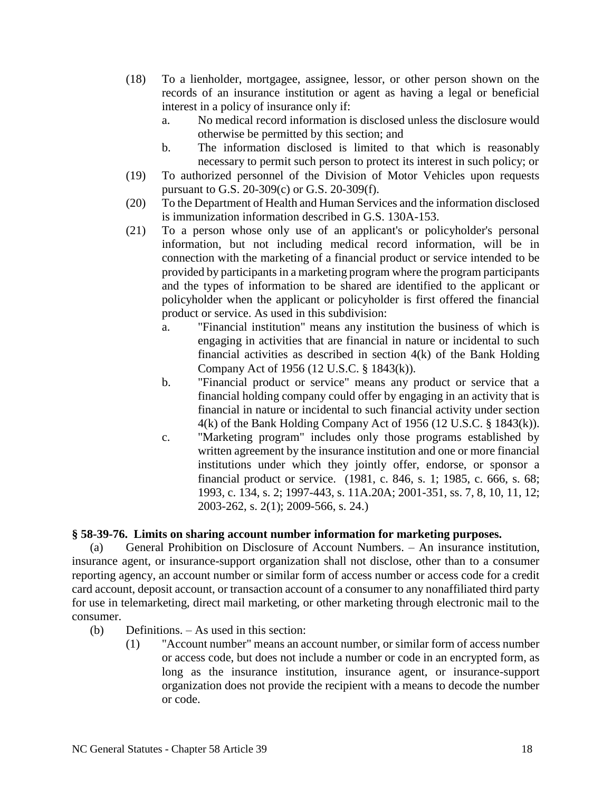- (18) To a lienholder, mortgagee, assignee, lessor, or other person shown on the records of an insurance institution or agent as having a legal or beneficial interest in a policy of insurance only if:
	- a. No medical record information is disclosed unless the disclosure would otherwise be permitted by this section; and
	- b. The information disclosed is limited to that which is reasonably necessary to permit such person to protect its interest in such policy; or
- (19) To authorized personnel of the Division of Motor Vehicles upon requests pursuant to G.S. 20-309(c) or G.S. 20-309(f).
- (20) To the Department of Health and Human Services and the information disclosed is immunization information described in G.S. 130A-153.
- (21) To a person whose only use of an applicant's or policyholder's personal information, but not including medical record information, will be in connection with the marketing of a financial product or service intended to be provided by participants in a marketing program where the program participants and the types of information to be shared are identified to the applicant or policyholder when the applicant or policyholder is first offered the financial product or service. As used in this subdivision:
	- a. "Financial institution" means any institution the business of which is engaging in activities that are financial in nature or incidental to such financial activities as described in section 4(k) of the Bank Holding Company Act of 1956 (12 U.S.C. § 1843(k)).
	- b. "Financial product or service" means any product or service that a financial holding company could offer by engaging in an activity that is financial in nature or incidental to such financial activity under section 4(k) of the Bank Holding Company Act of 1956 (12 U.S.C. § 1843(k)).
	- c. "Marketing program" includes only those programs established by written agreement by the insurance institution and one or more financial institutions under which they jointly offer, endorse, or sponsor a financial product or service. (1981, c. 846, s. 1; 1985, c. 666, s. 68; 1993, c. 134, s. 2; 1997-443, s. 11A.20A; 2001-351, ss. 7, 8, 10, 11, 12; 2003-262, s. 2(1); 2009-566, s. 24.)

## **§ 58-39-76. Limits on sharing account number information for marketing purposes.**

(a) General Prohibition on Disclosure of Account Numbers. – An insurance institution, insurance agent, or insurance-support organization shall not disclose, other than to a consumer reporting agency, an account number or similar form of access number or access code for a credit card account, deposit account, or transaction account of a consumer to any nonaffiliated third party for use in telemarketing, direct mail marketing, or other marketing through electronic mail to the consumer.

- (b) Definitions. As used in this section:
	- (1) "Account number" means an account number, or similar form of access number or access code, but does not include a number or code in an encrypted form, as long as the insurance institution, insurance agent, or insurance-support organization does not provide the recipient with a means to decode the number or code.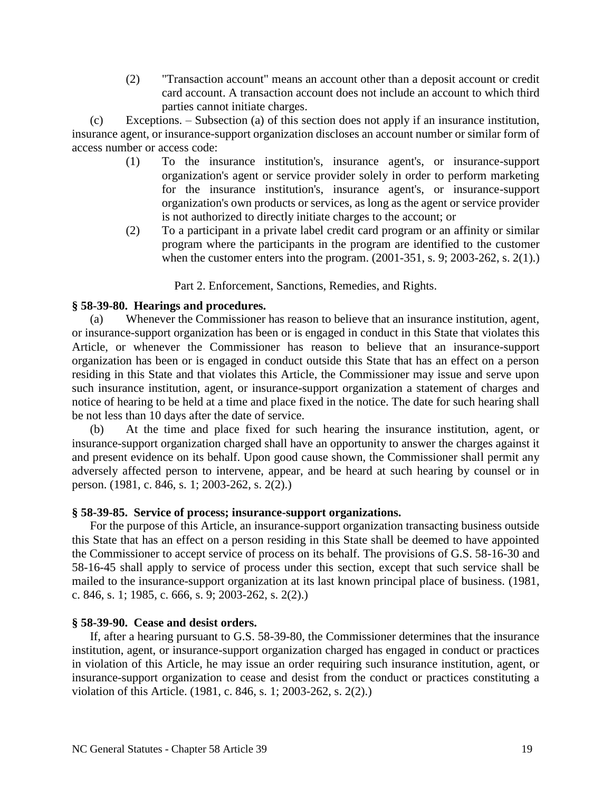(2) "Transaction account" means an account other than a deposit account or credit card account. A transaction account does not include an account to which third parties cannot initiate charges.

(c) Exceptions. – Subsection (a) of this section does not apply if an insurance institution, insurance agent, or insurance-support organization discloses an account number or similar form of access number or access code:

- (1) To the insurance institution's, insurance agent's, or insurance-support organization's agent or service provider solely in order to perform marketing for the insurance institution's, insurance agent's, or insurance-support organization's own products or services, as long as the agent or service provider is not authorized to directly initiate charges to the account; or
- (2) To a participant in a private label credit card program or an affinity or similar program where the participants in the program are identified to the customer when the customer enters into the program. (2001-351, s. 9; 2003-262, s. 2(1).)

Part 2. Enforcement, Sanctions, Remedies, and Rights.

## **§ 58-39-80. Hearings and procedures.**

(a) Whenever the Commissioner has reason to believe that an insurance institution, agent, or insurance-support organization has been or is engaged in conduct in this State that violates this Article, or whenever the Commissioner has reason to believe that an insurance-support organization has been or is engaged in conduct outside this State that has an effect on a person residing in this State and that violates this Article, the Commissioner may issue and serve upon such insurance institution, agent, or insurance-support organization a statement of charges and notice of hearing to be held at a time and place fixed in the notice. The date for such hearing shall be not less than 10 days after the date of service.

(b) At the time and place fixed for such hearing the insurance institution, agent, or insurance-support organization charged shall have an opportunity to answer the charges against it and present evidence on its behalf. Upon good cause shown, the Commissioner shall permit any adversely affected person to intervene, appear, and be heard at such hearing by counsel or in person. (1981, c. 846, s. 1; 2003-262, s. 2(2).)

## **§ 58-39-85. Service of process; insurance-support organizations.**

For the purpose of this Article, an insurance-support organization transacting business outside this State that has an effect on a person residing in this State shall be deemed to have appointed the Commissioner to accept service of process on its behalf. The provisions of G.S. 58-16-30 and 58-16-45 shall apply to service of process under this section, except that such service shall be mailed to the insurance-support organization at its last known principal place of business. (1981, c. 846, s. 1; 1985, c. 666, s. 9; 2003-262, s. 2(2).)

## **§ 58-39-90. Cease and desist orders.**

If, after a hearing pursuant to G.S. 58-39-80, the Commissioner determines that the insurance institution, agent, or insurance-support organization charged has engaged in conduct or practices in violation of this Article, he may issue an order requiring such insurance institution, agent, or insurance-support organization to cease and desist from the conduct or practices constituting a violation of this Article. (1981, c. 846, s. 1; 2003-262, s. 2(2).)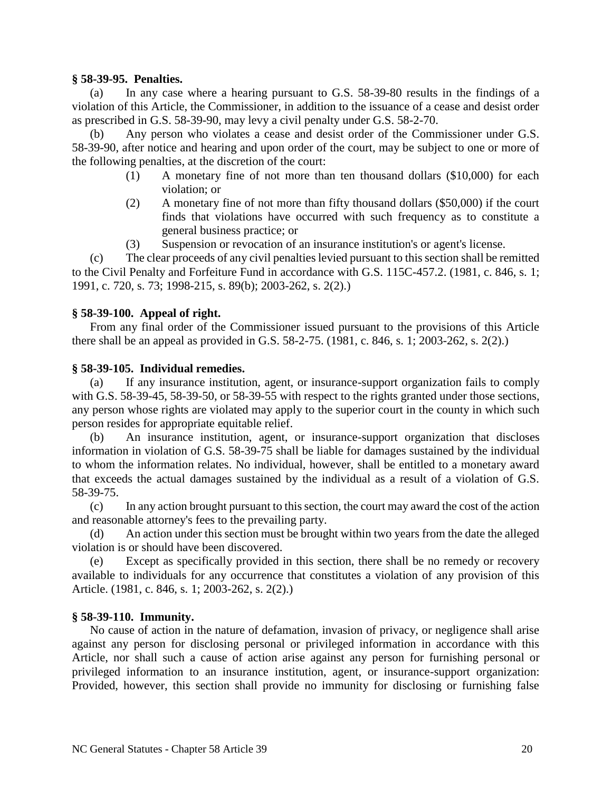#### **§ 58-39-95. Penalties.**

(a) In any case where a hearing pursuant to G.S. 58-39-80 results in the findings of a violation of this Article, the Commissioner, in addition to the issuance of a cease and desist order as prescribed in G.S. 58-39-90, may levy a civil penalty under G.S. 58-2-70.

(b) Any person who violates a cease and desist order of the Commissioner under G.S. 58-39-90, after notice and hearing and upon order of the court, may be subject to one or more of the following penalties, at the discretion of the court:

- (1) A monetary fine of not more than ten thousand dollars (\$10,000) for each violation; or
- (2) A monetary fine of not more than fifty thousand dollars (\$50,000) if the court finds that violations have occurred with such frequency as to constitute a general business practice; or
- (3) Suspension or revocation of an insurance institution's or agent's license.

(c) The clear proceeds of any civil penalties levied pursuant to this section shall be remitted to the Civil Penalty and Forfeiture Fund in accordance with G.S. 115C-457.2. (1981, c. 846, s. 1; 1991, c. 720, s. 73; 1998-215, s. 89(b); 2003-262, s. 2(2).)

## **§ 58-39-100. Appeal of right.**

From any final order of the Commissioner issued pursuant to the provisions of this Article there shall be an appeal as provided in G.S. 58-2-75. (1981, c. 846, s. 1; 2003-262, s. 2(2).)

## **§ 58-39-105. Individual remedies.**

(a) If any insurance institution, agent, or insurance-support organization fails to comply with G.S. 58-39-45, 58-39-50, or 58-39-55 with respect to the rights granted under those sections, any person whose rights are violated may apply to the superior court in the county in which such person resides for appropriate equitable relief.

(b) An insurance institution, agent, or insurance-support organization that discloses information in violation of G.S. 58-39-75 shall be liable for damages sustained by the individual to whom the information relates. No individual, however, shall be entitled to a monetary award that exceeds the actual damages sustained by the individual as a result of a violation of G.S. 58-39-75.

(c) In any action brought pursuant to this section, the court may award the cost of the action and reasonable attorney's fees to the prevailing party.

(d) An action under this section must be brought within two years from the date the alleged violation is or should have been discovered.

(e) Except as specifically provided in this section, there shall be no remedy or recovery available to individuals for any occurrence that constitutes a violation of any provision of this Article. (1981, c. 846, s. 1; 2003-262, s. 2(2).)

## **§ 58-39-110. Immunity.**

No cause of action in the nature of defamation, invasion of privacy, or negligence shall arise against any person for disclosing personal or privileged information in accordance with this Article, nor shall such a cause of action arise against any person for furnishing personal or privileged information to an insurance institution, agent, or insurance-support organization: Provided, however, this section shall provide no immunity for disclosing or furnishing false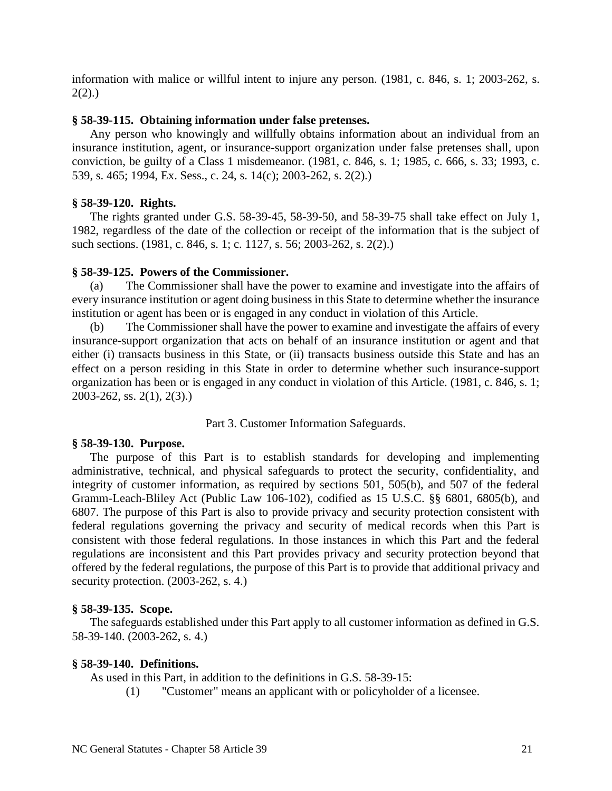information with malice or willful intent to injure any person. (1981, c. 846, s. 1; 2003-262, s.  $2(2).$ 

#### **§ 58-39-115. Obtaining information under false pretenses.**

Any person who knowingly and willfully obtains information about an individual from an insurance institution, agent, or insurance-support organization under false pretenses shall, upon conviction, be guilty of a Class 1 misdemeanor. (1981, c. 846, s. 1; 1985, c. 666, s. 33; 1993, c. 539, s. 465; 1994, Ex. Sess., c. 24, s. 14(c); 2003-262, s. 2(2).)

#### **§ 58-39-120. Rights.**

The rights granted under G.S. 58-39-45, 58-39-50, and 58-39-75 shall take effect on July 1, 1982, regardless of the date of the collection or receipt of the information that is the subject of such sections. (1981, c. 846, s. 1; c. 1127, s. 56; 2003-262, s. 2(2).)

#### **§ 58-39-125. Powers of the Commissioner.**

(a) The Commissioner shall have the power to examine and investigate into the affairs of every insurance institution or agent doing business in this State to determine whether the insurance institution or agent has been or is engaged in any conduct in violation of this Article.

(b) The Commissioner shall have the power to examine and investigate the affairs of every insurance-support organization that acts on behalf of an insurance institution or agent and that either (i) transacts business in this State, or (ii) transacts business outside this State and has an effect on a person residing in this State in order to determine whether such insurance-support organization has been or is engaged in any conduct in violation of this Article. (1981, c. 846, s. 1; 2003-262, ss. 2(1), 2(3).)

Part 3. Customer Information Safeguards.

#### **§ 58-39-130. Purpose.**

The purpose of this Part is to establish standards for developing and implementing administrative, technical, and physical safeguards to protect the security, confidentiality, and integrity of customer information, as required by sections 501, 505(b), and 507 of the federal Gramm-Leach-Bliley Act (Public Law 106-102), codified as 15 U.S.C. §§ 6801, 6805(b), and 6807. The purpose of this Part is also to provide privacy and security protection consistent with federal regulations governing the privacy and security of medical records when this Part is consistent with those federal regulations. In those instances in which this Part and the federal regulations are inconsistent and this Part provides privacy and security protection beyond that offered by the federal regulations, the purpose of this Part is to provide that additional privacy and security protection. (2003-262, s. 4.)

#### **§ 58-39-135. Scope.**

The safeguards established under this Part apply to all customer information as defined in G.S. 58-39-140. (2003-262, s. 4.)

#### **§ 58-39-140. Definitions.**

As used in this Part, in addition to the definitions in G.S. 58-39-15:

(1) "Customer" means an applicant with or policyholder of a licensee.